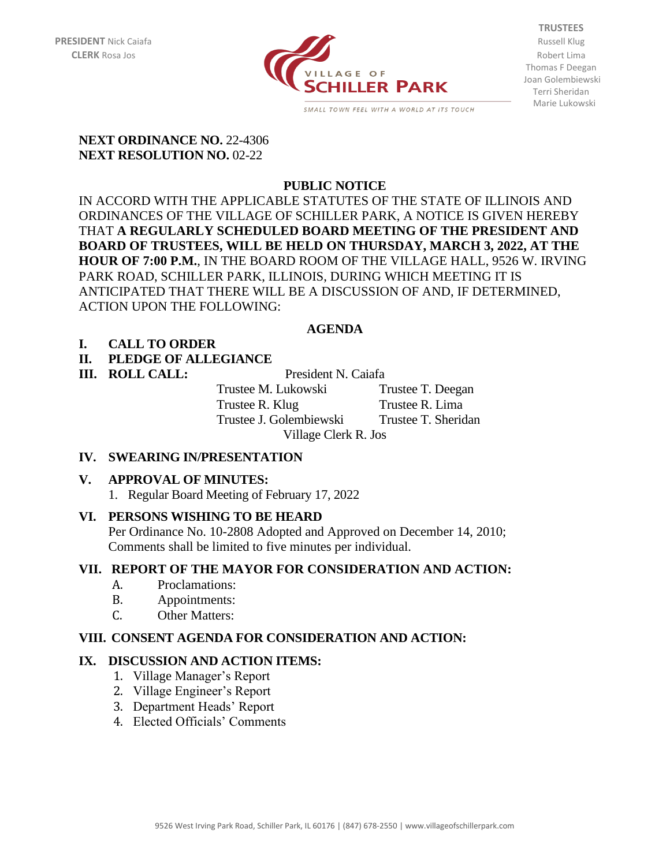

**TRUSTEES** Thomas F Deegan Joan Golembiewski Terri Sheridan Marie Lukowski

#### **NEXT ORDINANCE NO. 22-4306 NEXT RESOLUTION NO. 02-22**

# **PUBLIC NOTICE**

IN ACCORD WITH THE APPLICABLE STATUTES OF THE STATE OF ILLINOIS AND ORDINANCES OF THE VILLAGE OF SCHILLER PARK, A NOTICE IS GIVEN HEREBY THAT **A REGULARLY SCHEDULED BOARD MEETING OF THE PRESIDENT AND BOARD OF TRUSTEES, WILL BE HELD ON THURSDAY, MARCH 3, 2022, AT THE HOUR OF 7:00 P.M.**, IN THE BOARD ROOM OF THE VILLAGE HALL, 9526 W. IRVING PARK ROAD, SCHILLER PARK, ILLINOIS, DURING WHICH MEETING IT IS ANTICIPATED THAT THERE WILL BE A DISCUSSION OF AND, IF DETERMINED, ACTION UPON THE FOLLOWING:

### **AGENDA**

### **I. CALL TO ORDER**

### **II. PLEDGE OF ALLEGIANCE**

**III. ROLL CALL:** President N. Caiafa

Trustee M. Lukowski Trustee T. Deegan Trustee R. Klug Trustee R. Lima Trustee J. Golembiewski Trustee T. Sheridan Village Clerk R. Jos

#### **IV. SWEARING IN/PRESENTATION**

## **V. APPROVAL OF MINUTES:**

1. Regular Board Meeting of February 17, 2022

#### **VI. PERSONS WISHING TO BE HEARD**

Per Ordinance No. 10-2808 Adopted and Approved on December 14, 2010; Comments shall be limited to five minutes per individual.

#### **VII. REPORT OF THE MAYOR FOR CONSIDERATION AND ACTION:**

- A. Proclamations:
- B. Appointments:
- C. Other Matters:

#### **VIII. CONSENT AGENDA FOR CONSIDERATION AND ACTION:**

#### **IX. DISCUSSION AND ACTION ITEMS:**

- 1. Village Manager's Report
- 2. Village Engineer's Report
- 3. Department Heads' Report
- 4. Elected Officials' Comments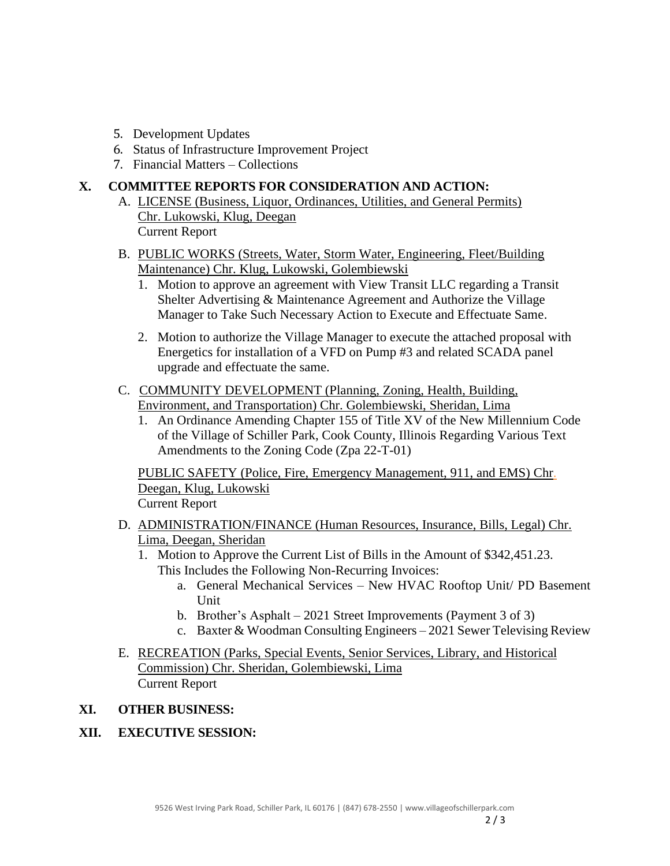- 5. Development Updates
- 6. Status of Infrastructure Improvement Project
- 7. Financial Matters Collections

#### **X. COMMITTEE REPORTS FOR CONSIDERATION AND ACTION:**

- A. LICENSE (Business, Liquor, Ordinances, Utilities, and General Permits) Chr. Lukowski, Klug, Deegan Current Report
- B. PUBLIC WORKS (Streets, Water, Storm Water, Engineering, Fleet/Building Maintenance) Chr. Klug, Lukowski, Golembiewski
	- 1. Motion to approve an agreement with View Transit LLC regarding a Transit Shelter Advertising & Maintenance Agreement and Authorize the Village Manager to Take Such Necessary Action to Execute and Effectuate Same.
	- 2. Motion to authorize the Village Manager to execute the attached proposal with Energetics for installation of a VFD on Pump #3 and related SCADA panel upgrade and effectuate the same.
- C. COMMUNITY DEVELOPMENT (Planning, Zoning, Health, Building, Environment, and Transportation) Chr. Golembiewski, Sheridan, Lima
	- 1. An Ordinance Amending Chapter 155 of Title XV of the New Millennium Code of the Village of Schiller Park, Cook County, Illinois Regarding Various Text Amendments to the Zoning Code (Zpa 22-T-01)

PUBLIC SAFETY (Police, Fire, Emergency Management, 911, and EMS) Chr. Deegan, Klug, Lukowski Current Report

- D. ADMINISTRATION/FINANCE (Human Resources, Insurance, Bills, Legal) Chr. Lima, Deegan, Sheridan
	- 1. Motion to Approve the Current List of Bills in the Amount of \$342,451.23. This Includes the Following Non-Recurring Invoices:
		- a. General Mechanical Services New HVAC Rooftop Unit/ PD Basement Unit
		- b. Brother's Asphalt 2021 Street Improvements (Payment 3 of 3)
		- c. Baxter & Woodman Consulting Engineers 2021 Sewer Televising Review
- E. RECREATION (Parks, Special Events, Senior Services, Library, and Historical Commission) Chr. Sheridan, Golembiewski, Lima Current Report

#### **XI. OTHER BUSINESS:**

#### **XII. EXECUTIVE SESSION:**